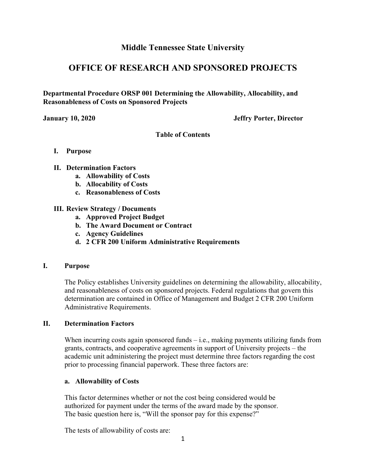# **Middle Tennessee State University**

# **OFFICE OF RESEARCH AND SPONSORED PROJECTS**

**Departmental Procedure ORSP 001 Determining the Allowability, Allocability, and Reasonableness of Costs on Sponsored Projects** 

**January 10, 2020 Jeffry Porter, Director** 

**Table of Contents** 

- **I. Purpose**
- **II. Determination Factors** 
	- **a. Allowability of Costs**
	- **b. Allocability of Costs**
	- **c. Reasonableness of Costs**

## **III. Review Strategy / Documents**

- **a. Approved Project Budget**
- **b. The Award Document or Contract**
- **c. Agency Guidelines**
- **d. 2 CFR 200 Uniform Administrative Requirements**

#### **I. Purpose**

The Policy establishes University guidelines on determining the allowability, allocability, and reasonableness of costs on sponsored projects. Federal regulations that govern this determination are contained in Office of Management and Budget 2 CFR 200 Uniform Administrative Requirements.

#### **II. Determination Factors**

When incurring costs again sponsored funds  $-$  i.e., making payments utilizing funds from grants, contracts, and cooperative agreements in support of University projects – the academic unit administering the project must determine three factors regarding the cost prior to processing financial paperwork. These three factors are:

#### **a. Allowability of Costs**

This factor determines whether or not the cost being considered would be authorized for payment under the terms of the award made by the sponsor. The basic question here is, "Will the sponsor pay for this expense?"

The tests of allowability of costs are: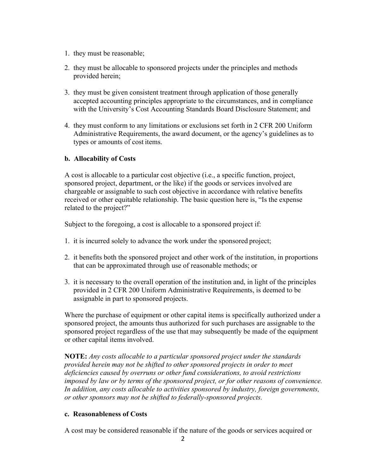- 1. they must be reasonable;
- 2. they must be allocable to sponsored projects under the principles and methods provided herein;
- 3. they must be given consistent treatment through application of those generally accepted accounting principles appropriate to the circumstances, and in compliance with the University's Cost Accounting Standards Board Disclosure Statement; and
- 4. they must conform to any limitations or exclusions set forth in 2 CFR 200 Uniform Administrative Requirements, the award document, or the agency's guidelines as to types or amounts of cost items.

#### **b. Allocability of Costs**

A cost is allocable to a particular cost objective (i.e., a specific function, project, sponsored project, department, or the like) if the goods or services involved are chargeable or assignable to such cost objective in accordance with relative benefits received or other equitable relationship. The basic question here is, "Is the expense related to the project?"

Subject to the foregoing, a cost is allocable to a sponsored project if:

- 1. it is incurred solely to advance the work under the sponsored project;
- 2. it benefits both the sponsored project and other work of the institution, in proportions that can be approximated through use of reasonable methods; or
- 3. it is necessary to the overall operation of the institution and, in light of the principles provided in 2 CFR 200 Uniform Administrative Requirements, is deemed to be assignable in part to sponsored projects.

Where the purchase of equipment or other capital items is specifically authorized under a sponsored project, the amounts thus authorized for such purchases are assignable to the sponsored project regardless of the use that may subsequently be made of the equipment or other capital items involved.

**NOTE:** *Any costs allocable to a particular sponsored project under the standards provided herein may not be shifted to other sponsored projects in order to meet deficiencies caused by overruns or other fund considerations, to avoid restrictions imposed by law or by terms of the sponsored project, or for other reasons of convenience. In addition, any costs allocable to activities sponsored by industry, foreign governments, or other sponsors may not be shifted to federally-sponsored projects.* 

#### **c. Reasonableness of Costs**

A cost may be considered reasonable if the nature of the goods or services acquired or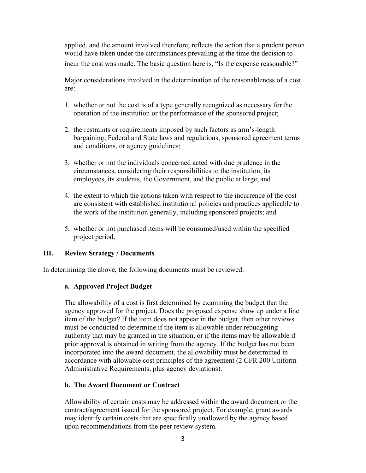applied, and the amount involved therefore, reflects the action that a prudent person would have taken under the circumstances prevailing at the time the decision to incur the cost was made. The basic question here is, "Is the expense reasonable?"

Major considerations involved in the determination of the reasonableness of a cost are:

- 1. whether or not the cost is of a type generally recognized as necessary for the operation of the institution or the performance of the sponsored project;
- 2. the restraints or requirements imposed by such factors as arm's-length bargaining, Federal and State laws and regulations, sponsored agreement terms and conditions, or agency guidelines;
- 3. whether or not the individuals concerned acted with due prudence in the circumstances, considering their responsibilities to the institution, its employees, its students, the Government, and the public at large; and
- 4. the extent to which the actions taken with respect to the incurrence of the cost are consistent with established institutional policies and practices applicable to the work of the institution generally, including sponsored projects; and
- 5. whether or not purchased items will be consumed/used within the specified project period.

# **III. Review Strategy / Documents**

In determining the above, the following documents must be reviewed:

#### **a. Approved Project Budget**

The allowability of a cost is first determined by examining the budget that the agency approved for the project. Does the proposed expense show up under a line item of the budget? If the item does not appear in the budget, then other reviews must be conducted to determine if the item is allowable under rebudgeting authority that may be granted in the situation, or if the items may be allowable if prior approval is obtained in writing from the agency. If the budget has not been incorporated into the award document, the allowability must be determined in accordance with allowable cost principles of the agreement (2 CFR 200 Uniform Administrative Requirements, plus agency deviations).

#### **b. The Award Document or Contract**

Allowability of certain costs may be addressed within the award document or the contract/agreement issued for the sponsored project. For example, grant awards may identify certain costs that are specifically unallowed by the agency based upon recommendations from the peer review system.